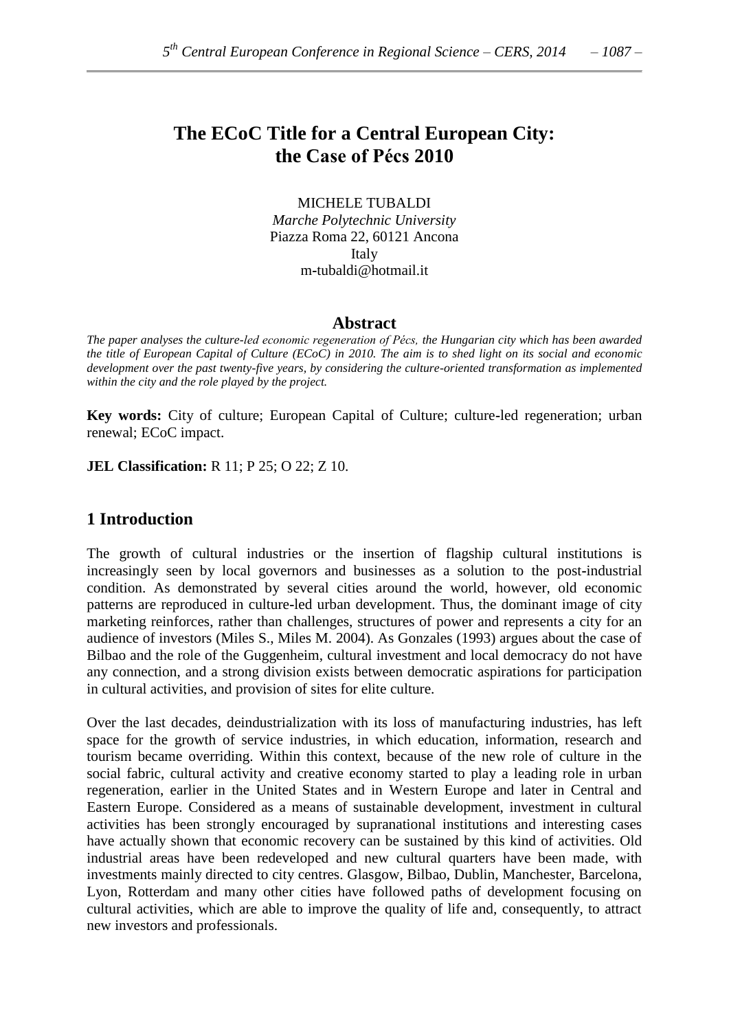# **The ECoC Title for a Central European City: the Case of Pécs 2010**

MICHELE TUBALDI *Marche Polytechnic University* Piazza Roma 22, 60121 Ancona Italy m**-**tubaldi@hotmail.it

#### **Abstract**

*The paper analyses the culture-led economic regeneration of Pécs, the Hungarian city which has been awarded the title of European Capital of Culture (ECoC) in 2010. The aim is to shed light on its social and economic development over the past twenty-five years, by considering the culture-oriented transformation as implemented within the city and the role played by the project.*

**Key words:** City of culture; European Capital of Culture; culture**-**led regeneration; urban renewal; ECoC impact.

**JEL Classification:** R 11; P 25; O 22; Z 10.

## **1 Introduction**

The growth of cultural industries or the insertion of flagship cultural institutions is increasingly seen by local governors and businesses as a solution to the post**-**industrial condition. As demonstrated by several cities around the world, however, old economic patterns are reproduced in culture**-**led urban development. Thus, the dominant image of city marketing reinforces, rather than challenges, structures of power and represents a city for an audience of investors (Miles S., Miles M. 2004). As Gonzales (1993) argues about the case of Bilbao and the role of the Guggenheim, cultural investment and local democracy do not have any connection, and a strong division exists between democratic aspirations for participation in cultural activities, and provision of sites for elite culture.

Over the last decades, deindustrialization with its loss of manufacturing industries, has left space for the growth of service industries, in which education, information, research and tourism became overriding. Within this context, because of the new role of culture in the social fabric, cultural activity and creative economy started to play a leading role in urban regeneration, earlier in the United States and in Western Europe and later in Central and Eastern Europe. Considered as a means of sustainable development, investment in cultural activities has been strongly encouraged by supranational institutions and interesting cases have actually shown that economic recovery can be sustained by this kind of activities. Old industrial areas have been redeveloped and new cultural quarters have been made, with investments mainly directed to city centres. Glasgow, Bilbao, Dublin, Manchester, Barcelona, Lyon, Rotterdam and many other cities have followed paths of development focusing on cultural activities, which are able to improve the quality of life and, consequently, to attract new investors and professionals.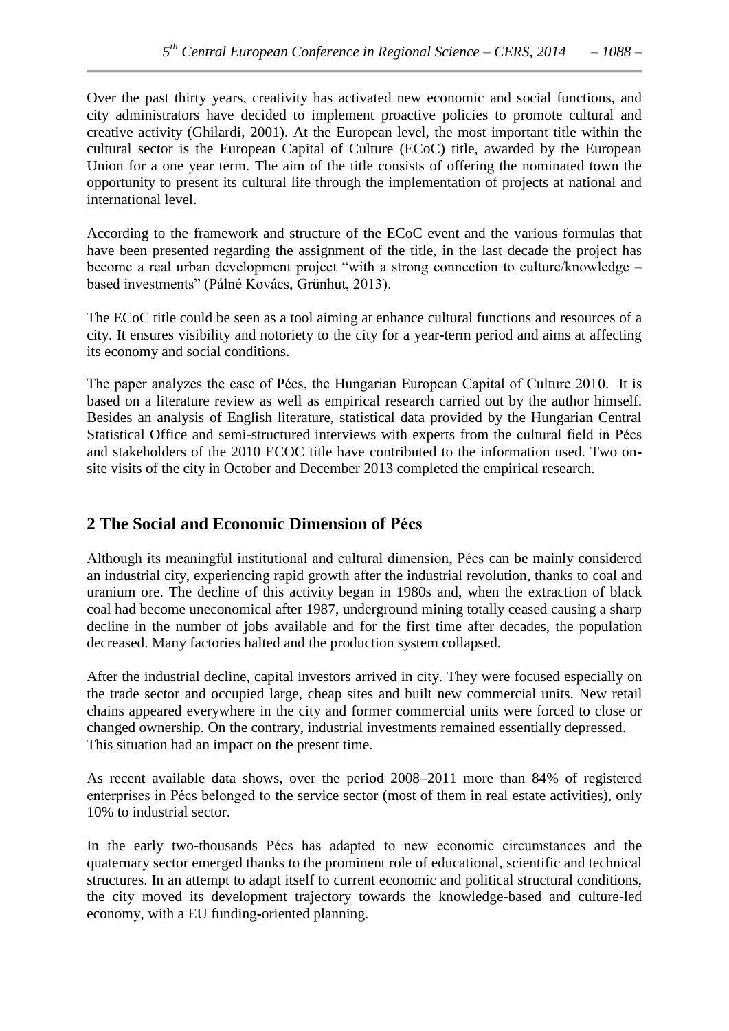Over the past thirty years, creativity has activated new economic and social functions, and city administrators have decided to implement proactive policies to promote cultural and creative activity (Ghilardi, 2001). At the European level, the most important title within the cultural sector is the European Capital of Culture (ECoC) title, awarded by the European Union for a one year term. The aim of the title consists of offering the nominated town the opportunity to present its cultural life through the implementation of projects at national and international level.

According to the framework and structure of the ECoC event and the various formulas that have been presented regarding the assignment of the title, in the last decade the project has become a real urban development project "with a strong connection to culture/knowledge – based investments" (Pálné Kovács, Grünhut, 2013).

The ECoC title could be seen as a tool aiming at enhance cultural functions and resources of a city. It ensures visibility and notoriety to the city for a year**-**term period and aims at affecting its economy and social conditions.

The paper analyzes the case of Pécs, the Hungarian European Capital of Culture 2010. It is based on a literature review as well as empirical research carried out by the author himself. Besides an analysis of English literature, statistical data provided by the Hungarian Central Statistical Office and semi**-**structured interviews with experts from the cultural field in Pécs and stakeholders of the 2010 ECOC title have contributed to the information used. Two onsite visits of the city in October and December 2013 completed the empirical research.

## **2 The Social and Economic Dimension of Pécs**

Although its meaningful institutional and cultural dimension, Pécs can be mainly considered an industrial city, experiencing rapid growth after the industrial revolution, thanks to coal and uranium ore. The decline of this activity began in 1980s and, when the extraction of black coal had become uneconomical after 1987, underground mining totally ceased causing a sharp decline in the number of jobs available and for the first time after decades, the population decreased. Many factories halted and the production system collapsed.

After the industrial decline, capital investors arrived in city. They were focused especially on the trade sector and occupied large, cheap sites and built new commercial units. New retail chains appeared everywhere in the city and former commercial units were forced to close or changed ownership. On the contrary, industrial investments remained essentially depressed. This situation had an impact on the present time.

As recent available data shows, over the period 2008–2011 more than 84% of registered enterprises in Pécs belonged to the service sector (most of them in real estate activities), only 10% to industrial sector.

In the early two**-**thousands Pécs has adapted to new economic circumstances and the quaternary sector emerged thanks to the prominent role of educational, scientific and technical structures. In an attempt to adapt itself to current economic and political structural conditions, the city moved its development trajectory towards the knowledge**-**based and culture**-**led economy, with a EU funding**-**oriented planning.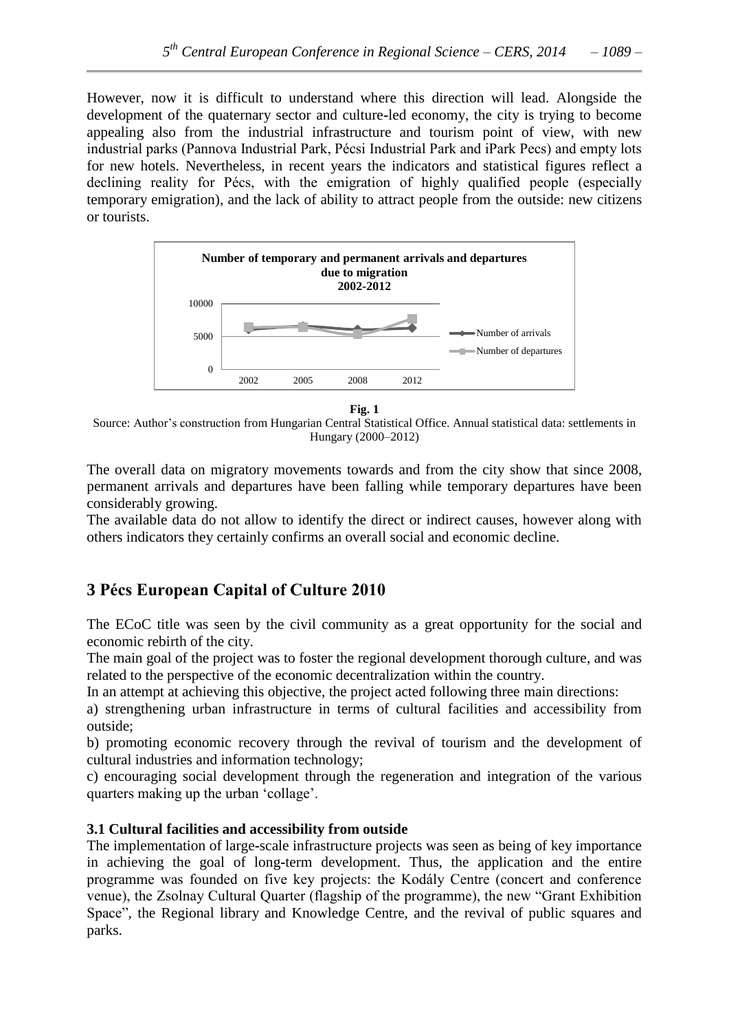However, now it is difficult to understand where this direction will lead. Alongside the development of the quaternary sector and culture**-**led economy, the city is trying to become appealing also from the industrial infrastructure and tourism point of view, with new industrial parks (Pannova Industrial Park, Pécsi Industrial Park and iPark Pecs) and empty lots for new hotels. Nevertheless, in recent years the indicators and statistical figures reflect a declining reality for Pécs, with the emigration of highly qualified people (especially temporary emigration), and the lack of ability to attract people from the outside: new citizens or tourists.



**Fig. 1**

Source: Author"s construction from Hungarian Central Statistical Office. Annual statistical data: settlements in Hungary (2000–2012)

The overall data on migratory movements towards and from the city show that since 2008, permanent arrivals and departures have been falling while temporary departures have been considerably growing.

The available data do not allow to identify the direct or indirect causes, however along with others indicators they certainly confirms an overall social and economic decline.

## **3 Pécs European Capital of Culture 2010**

The ECoC title was seen by the civil community as a great opportunity for the social and economic rebirth of the city.

The main goal of the project was to foster the regional development thorough culture, and was related to the perspective of the economic decentralization within the country.

In an attempt at achieving this objective, the project acted following three main directions:

a) strengthening urban infrastructure in terms of cultural facilities and accessibility from outside;

b) promoting economic recovery through the revival of tourism and the development of cultural industries and information technology;

c) encouraging social development through the regeneration and integration of the various quarters making up the urban "collage".

## **3.1 Cultural facilities and accessibility from outside**

The implementation of large**-**scale infrastructure projects was seen as being of key importance in achieving the goal of long**-**term development. Thus, the application and the entire programme was founded on five key projects: the Kodály Centre (concert and conference venue), the Zsolnay Cultural Quarter (flagship of the programme), the new "Grant Exhibition Space", the Regional library and Knowledge Centre, and the revival of public squares and parks.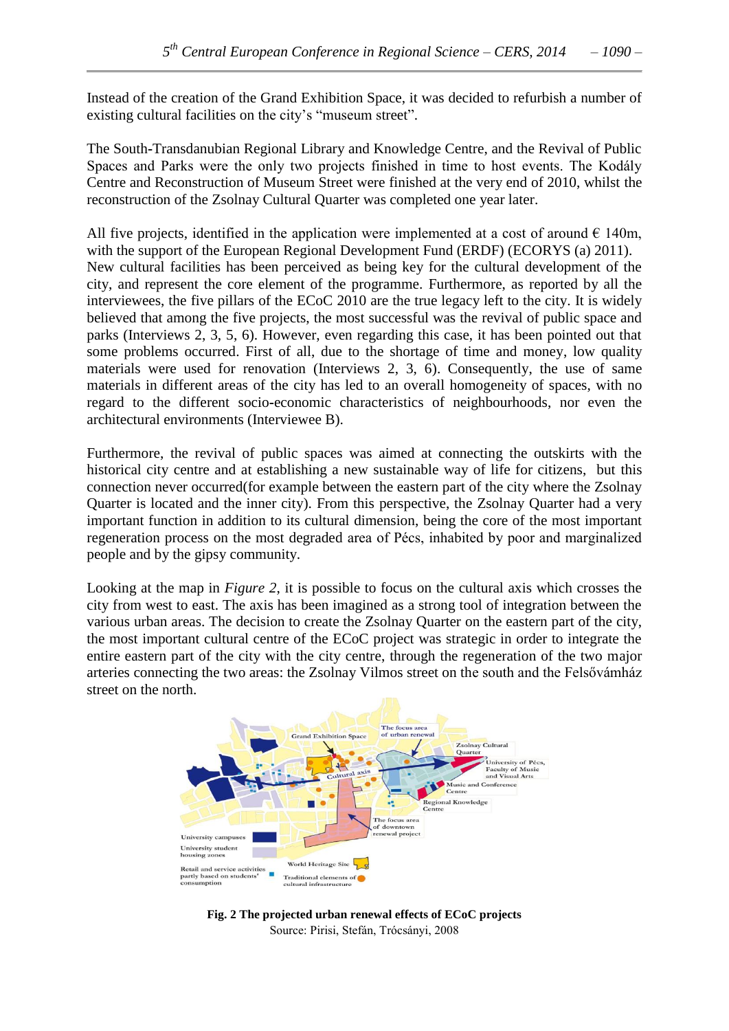Instead of the creation of the Grand Exhibition Space, it was decided to refurbish a number of existing cultural facilities on the city's "museum street".

The South**-**Transdanubian Regional Library and Knowledge Centre, and the Revival of Public Spaces and Parks were the only two projects finished in time to host events. The Kodály Centre and Reconstruction of Museum Street were finished at the very end of 2010, whilst the reconstruction of the Zsolnay Cultural Quarter was completed one year later.

All five projects, identified in the application were implemented at a cost of around  $\epsilon$  140m, with the support of the European Regional Development Fund (ERDF) (ECORYS (a) 2011). New cultural facilities has been perceived as being key for the cultural development of the city, and represent the core element of the programme. Furthermore, as reported by all the interviewees, the five pillars of the ECoC 2010 are the true legacy left to the city. It is widely believed that among the five projects, the most successful was the revival of public space and parks (Interviews 2, 3, 5, 6). However, even regarding this case, it has been pointed out that some problems occurred. First of all, due to the shortage of time and money, low quality materials were used for renovation (Interviews 2, 3, 6). Consequently, the use of same materials in different areas of the city has led to an overall homogeneity of spaces, with no regard to the different socio**-**economic characteristics of neighbourhoods, nor even the architectural environments (Interviewee B).

Furthermore, the revival of public spaces was aimed at connecting the outskirts with the historical city centre and at establishing a new sustainable way of life for citizens, but this connection never occurred(for example between the eastern part of the city where the Zsolnay Quarter is located and the inner city). From this perspective, the Zsolnay Quarter had a very important function in addition to its cultural dimension, being the core of the most important regeneration process on the most degraded area of Pécs, inhabited by poor and marginalized people and by the gipsy community.

Looking at the map in *Figure 2*, it is possible to focus on the cultural axis which crosses the city from west to east. The axis has been imagined as a strong tool of integration between the various urban areas. The decision to create the Zsolnay Quarter on the eastern part of the city, the most important cultural centre of the ECoC project was strategic in order to integrate the entire eastern part of the city with the city centre, through the regeneration of the two major arteries connecting the two areas: the Zsolnay Vilmos street on the south and the Felsővámház street on the north.



**Fig. 2 The projected urban renewal effects of ECoC projects** Source: Pirisi, Stefán, Trócsányi, 2008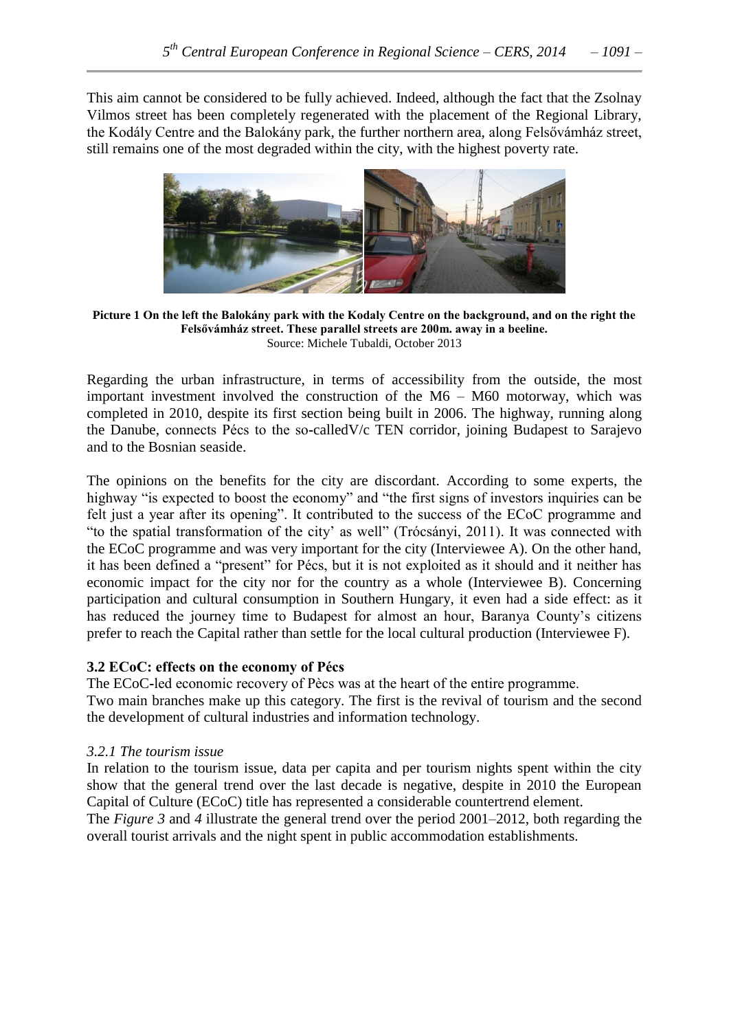This aim cannot be considered to be fully achieved. Indeed, although the fact that the Zsolnay Vilmos street has been completely regenerated with the placement of the Regional Library, the Kodály Centre and the Balokány park, the further northern area, along Felsővámház street, still remains one of the most degraded within the city, with the highest poverty rate.



**Picture 1 On the left the Balokány park with the Kodaly Centre on the background, and on the right the Felsővámház street. These parallel streets are 200m. away in a beeline.** Source: Michele Tubaldi, October 2013

Regarding the urban infrastructure, in terms of accessibility from the outside, the most important investment involved the construction of the M6 – M60 motorway, which was completed in 2010, despite its first section being built in 2006. The highway, running along the Danube, connects Pécs to the so**-**calledV/c TEN corridor, joining Budapest to Sarajevo and to the Bosnian seaside.

The opinions on the benefits for the city are discordant. According to some experts, the highway "is expected to boost the economy" and "the first signs of investors inquiries can be felt just a year after its opening". It contributed to the success of the ECoC programme and "to the spatial transformation of the city' as well" (Trócsányi, 2011). It was connected with the ECoC programme and was very important for the city (Interviewee A). On the other hand, it has been defined a "present" for Pécs, but it is not exploited as it should and it neither has economic impact for the city nor for the country as a whole (Interviewee B). Concerning participation and cultural consumption in Southern Hungary, it even had a side effect: as it has reduced the journey time to Budapest for almost an hour, Baranya County"s citizens prefer to reach the Capital rather than settle for the local cultural production (Interviewee F).

#### **3.2 ECoC: effects on the economy of Pécs**

The ECoC**-**led economic recovery of Pècs was at the heart of the entire programme. Two main branches make up this category. The first is the revival of tourism and the second the development of cultural industries and information technology.

#### *3.2.1 The tourism issue*

In relation to the tourism issue, data per capita and per tourism nights spent within the city show that the general trend over the last decade is negative, despite in 2010 the European Capital of Culture (ECoC) title has represented a considerable countertrend element.

The *Figure 3* and *4* illustrate the general trend over the period 2001–2012, both regarding the overall tourist arrivals and the night spent in public accommodation establishments.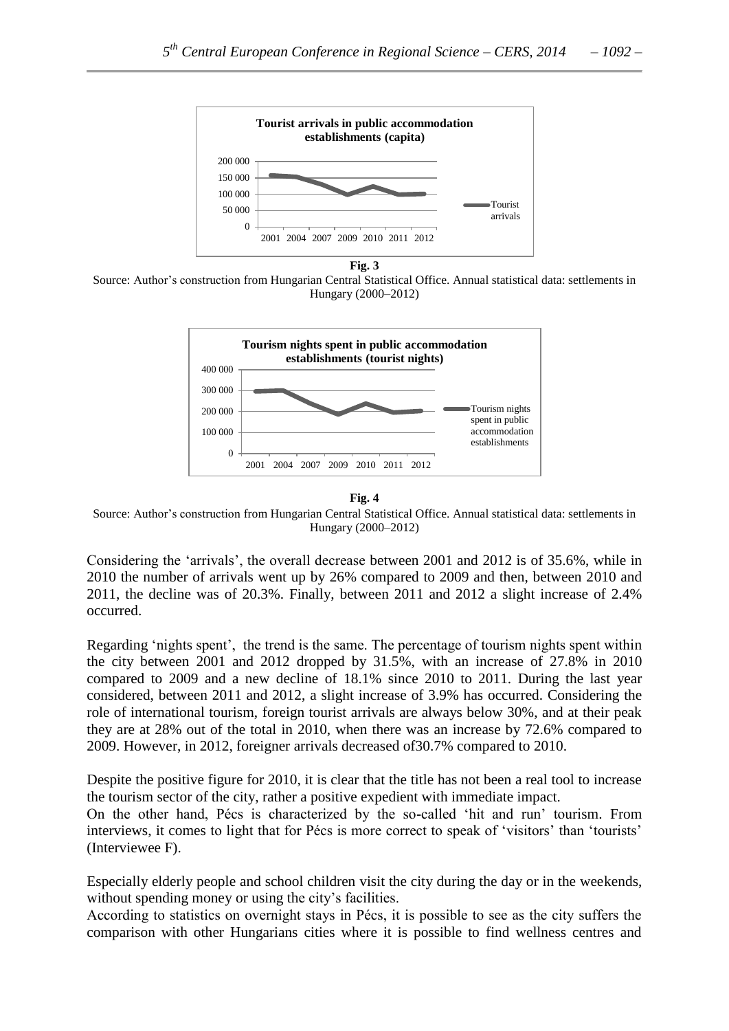

**Fig. 3**

Source: Author"s construction from Hungarian Central Statistical Office. Annual statistical data: settlements in Hungary (2000–2012)



**Fig. 4**

Source: Author"s construction from Hungarian Central Statistical Office. Annual statistical data: settlements in Hungary (2000–2012)

Considering the "arrivals", the overall decrease between 2001 and 2012 is of 35.6%, while in 2010 the number of arrivals went up by 26% compared to 2009 and then, between 2010 and 2011, the decline was of 20.3%. Finally, between 2011 and 2012 a slight increase of 2.4% occurred.

Regarding 'nights spent', the trend is the same. The percentage of tourism nights spent within the city between 2001 and 2012 dropped by 31.5%, with an increase of 27.8% in 2010 compared to 2009 and a new decline of 18.1% since 2010 to 2011. During the last year considered, between 2011 and 2012, a slight increase of 3.9% has occurred. Considering the role of international tourism, foreign tourist arrivals are always below 30%, and at their peak they are at 28% out of the total in 2010, when there was an increase by 72.6% compared to 2009. However, in 2012, foreigner arrivals decreased of30.7% compared to 2010.

Despite the positive figure for 2010, it is clear that the title has not been a real tool to increase the tourism sector of the city, rather a positive expedient with immediate impact.

On the other hand, Pécs is characterized by the so**-**called "hit and run" tourism. From interviews, it comes to light that for Pécs is more correct to speak of 'visitors' than 'tourists' (Interviewee F).

Especially elderly people and school children visit the city during the day or in the weekends, without spending money or using the city's facilities.

According to statistics on overnight stays in Pécs, it is possible to see as the city suffers the comparison with other Hungarians cities where it is possible to find wellness centres and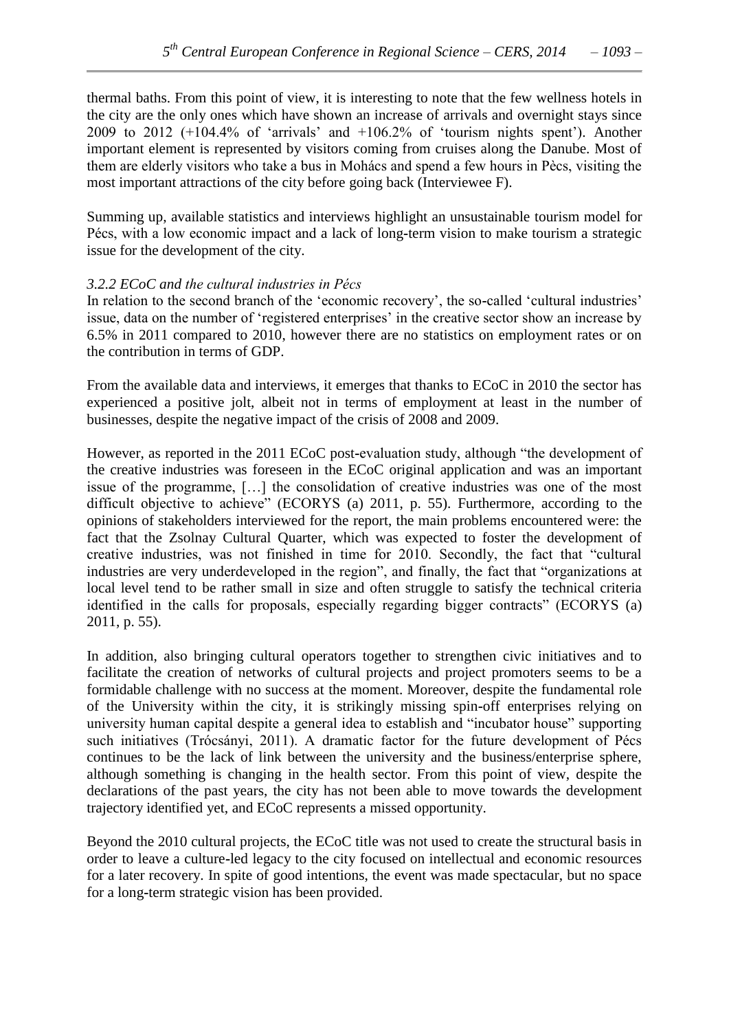thermal baths. From this point of view, it is interesting to note that the few wellness hotels in the city are the only ones which have shown an increase of arrivals and overnight stays since 2009 to 2012  $(+104.4\%$  of 'arrivals' and  $+106.2\%$  of 'tourism nights spent'). Another important element is represented by visitors coming from cruises along the Danube. Most of them are elderly visitors who take a bus in Mohács and spend a few hours in Pècs, visiting the most important attractions of the city before going back (Interviewee F).

Summing up, available statistics and interviews highlight an unsustainable tourism model for Pécs, with a low economic impact and a lack of long**-**term vision to make tourism a strategic issue for the development of the city.

#### *3.2.2 ECoC and the cultural industries in Pécs*

In relation to the second branch of the "economic recovery", the so**-**called "cultural industries" issue, data on the number of 'registered enterprises' in the creative sector show an increase by 6.5% in 2011 compared to 2010, however there are no statistics on employment rates or on the contribution in terms of GDP.

From the available data and interviews, it emerges that thanks to ECoC in 2010 the sector has experienced a positive jolt, albeit not in terms of employment at least in the number of businesses, despite the negative impact of the crisis of 2008 and 2009.

However, as reported in the 2011 ECoC post**-**evaluation study, although "the development of the creative industries was foreseen in the ECoC original application and was an important issue of the programme, […] the consolidation of creative industries was one of the most difficult objective to achieve" (ECORYS (a) 2011, p. 55). Furthermore, according to the opinions of stakeholders interviewed for the report, the main problems encountered were: the fact that the Zsolnay Cultural Quarter, which was expected to foster the development of creative industries, was not finished in time for 2010. Secondly, the fact that "cultural industries are very underdeveloped in the region", and finally, the fact that "organizations at local level tend to be rather small in size and often struggle to satisfy the technical criteria identified in the calls for proposals, especially regarding bigger contracts" (ECORYS (a) 2011, p. 55).

In addition, also bringing cultural operators together to strengthen civic initiatives and to facilitate the creation of networks of cultural projects and project promoters seems to be a formidable challenge with no success at the moment. Moreover, despite the fundamental role of the University within the city, it is strikingly missing spin**-**off enterprises relying on university human capital despite a general idea to establish and "incubator house" supporting such initiatives (Trócsányi, 2011). A dramatic factor for the future development of Pécs continues to be the lack of link between the university and the business/enterprise sphere, although something is changing in the health sector. From this point of view, despite the declarations of the past years, the city has not been able to move towards the development trajectory identified yet, and ECoC represents a missed opportunity.

Beyond the 2010 cultural projects, the ECoC title was not used to create the structural basis in order to leave a culture**-**led legacy to the city focused on intellectual and economic resources for a later recovery. In spite of good intentions, the event was made spectacular, but no space for a long**-**term strategic vision has been provided.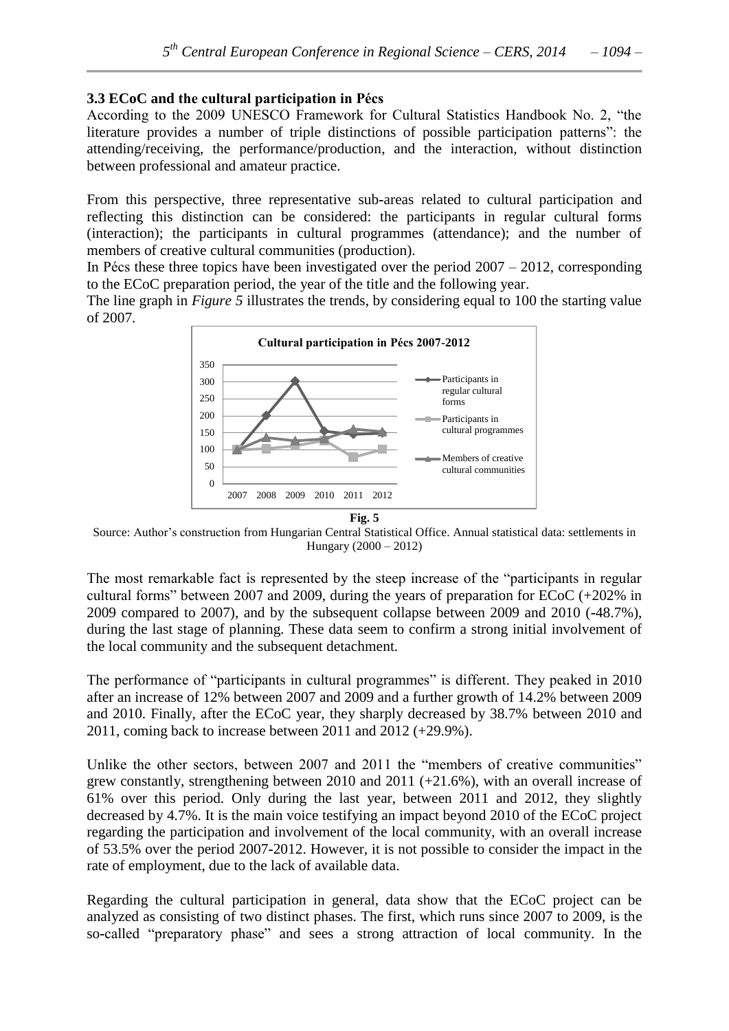#### **3.3 ECoC and the cultural participation in Pécs**

According to the 2009 UNESCO Framework for Cultural Statistics Handbook No. 2, "the literature provides a number of triple distinctions of possible participation patterns": the attending/receiving, the performance/production, and the interaction, without distinction between professional and amateur practice.

From this perspective, three representative sub**-**areas related to cultural participation and reflecting this distinction can be considered: the participants in regular cultural forms (interaction); the participants in cultural programmes (attendance); and the number of members of creative cultural communities (production).

In Pécs these three topics have been investigated over the period  $2007 - 2012$ , corresponding to the ECoC preparation period, the year of the title and the following year.

The line graph in *Figure 5* illustrates the trends, by considering equal to 100 the starting value of 2007.



**Fig. 5**

Source: Author"s construction from Hungarian Central Statistical Office. Annual statistical data: settlements in Hungary (2000 – 2012)

The most remarkable fact is represented by the steep increase of the "participants in regular cultural forms" between 2007 and 2009, during the years of preparation for ECoC (+202% in 2009 compared to 2007), and by the subsequent collapse between 2009 and 2010 (**-**48.7%), during the last stage of planning. These data seem to confirm a strong initial involvement of the local community and the subsequent detachment.

The performance of "participants in cultural programmes" is different. They peaked in 2010 after an increase of 12% between 2007 and 2009 and a further growth of 14.2% between 2009 and 2010. Finally, after the ECoC year, they sharply decreased by 38.7% between 2010 and 2011, coming back to increase between 2011 and 2012 (+29.9%).

Unlike the other sectors, between 2007 and 2011 the "members of creative communities" grew constantly, strengthening between 2010 and 2011 (+21.6%), with an overall increase of 61% over this period. Only during the last year, between 2011 and 2012, they slightly decreased by 4.7%. It is the main voice testifying an impact beyond 2010 of the ECoC project regarding the participation and involvement of the local community, with an overall increase of 53.5% over the period 2007**-**2012. However, it is not possible to consider the impact in the rate of employment, due to the lack of available data.

Regarding the cultural participation in general, data show that the ECoC project can be analyzed as consisting of two distinct phases. The first, which runs since 2007 to 2009, is the so**-**called "preparatory phase" and sees a strong attraction of local community. In the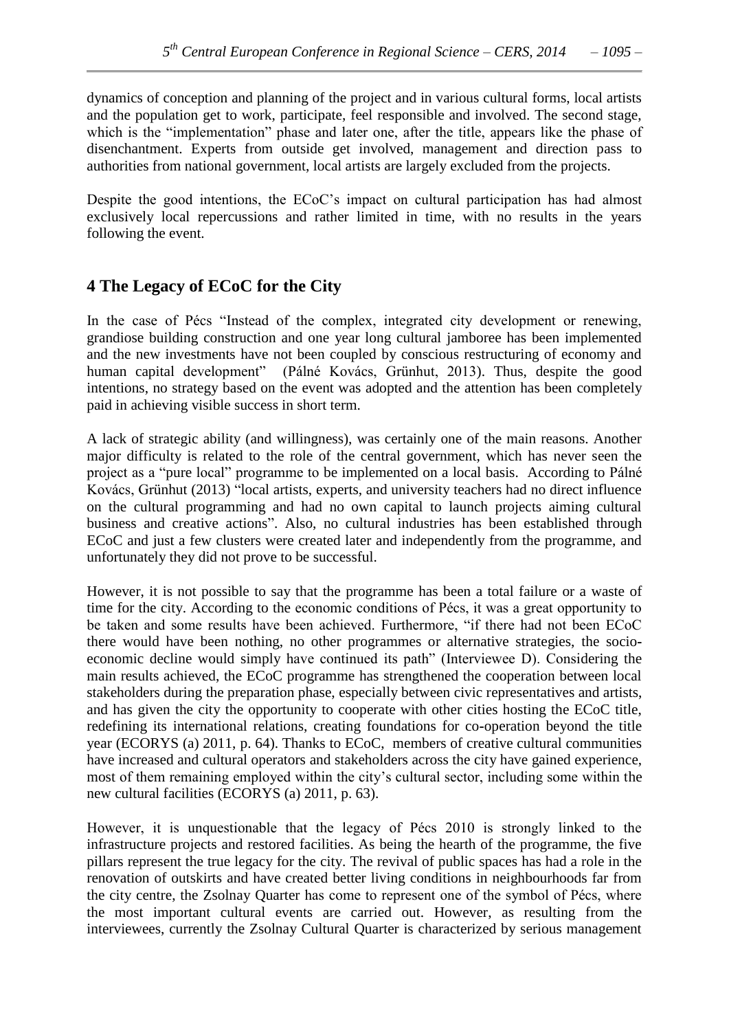dynamics of conception and planning of the project and in various cultural forms, local artists and the population get to work, participate, feel responsible and involved. The second stage, which is the "implementation" phase and later one, after the title, appears like the phase of disenchantment. Experts from outside get involved, management and direction pass to authorities from national government, local artists are largely excluded from the projects.

Despite the good intentions, the ECoC's impact on cultural participation has had almost exclusively local repercussions and rather limited in time, with no results in the years following the event.

## **4 The Legacy of ECoC for the City**

In the case of Pécs "Instead of the complex, integrated city development or renewing, grandiose building construction and one year long cultural jamboree has been implemented and the new investments have not been coupled by conscious restructuring of economy and human capital development" (Pálné Kovács, Grünhut, 2013). Thus, despite the good intentions, no strategy based on the event was adopted and the attention has been completely paid in achieving visible success in short term.

A lack of strategic ability (and willingness), was certainly one of the main reasons. Another major difficulty is related to the role of the central government, which has never seen the project as a "pure local" programme to be implemented on a local basis. According to Pálné Kovács, Grünhut (2013) "local artists, experts, and university teachers had no direct influence on the cultural programming and had no own capital to launch projects aiming cultural business and creative actions". Also, no cultural industries has been established through ECoC and just a few clusters were created later and independently from the programme, and unfortunately they did not prove to be successful.

However, it is not possible to say that the programme has been a total failure or a waste of time for the city. According to the economic conditions of Pécs, it was a great opportunity to be taken and some results have been achieved. Furthermore, "if there had not been ECoC there would have been nothing, no other programmes or alternative strategies, the socioeconomic decline would simply have continued its path" (Interviewee D). Considering the main results achieved, the ECoC programme has strengthened the cooperation between local stakeholders during the preparation phase, especially between civic representatives and artists, and has given the city the opportunity to cooperate with other cities hosting the ECoC title, redefining its international relations, creating foundations for co**-**operation beyond the title year (ECORYS (a) 2011, p. 64). Thanks to ECoC, members of creative cultural communities have increased and cultural operators and stakeholders across the city have gained experience, most of them remaining employed within the city"s cultural sector, including some within the new cultural facilities (ECORYS (a) 2011, p. 63).

However, it is unquestionable that the legacy of Pécs 2010 is strongly linked to the infrastructure projects and restored facilities. As being the hearth of the programme, the five pillars represent the true legacy for the city. The revival of public spaces has had a role in the renovation of outskirts and have created better living conditions in neighbourhoods far from the city centre, the Zsolnay Quarter has come to represent one of the symbol of Pécs, where the most important cultural events are carried out. However, as resulting from the interviewees, currently the Zsolnay Cultural Quarter is characterized by serious management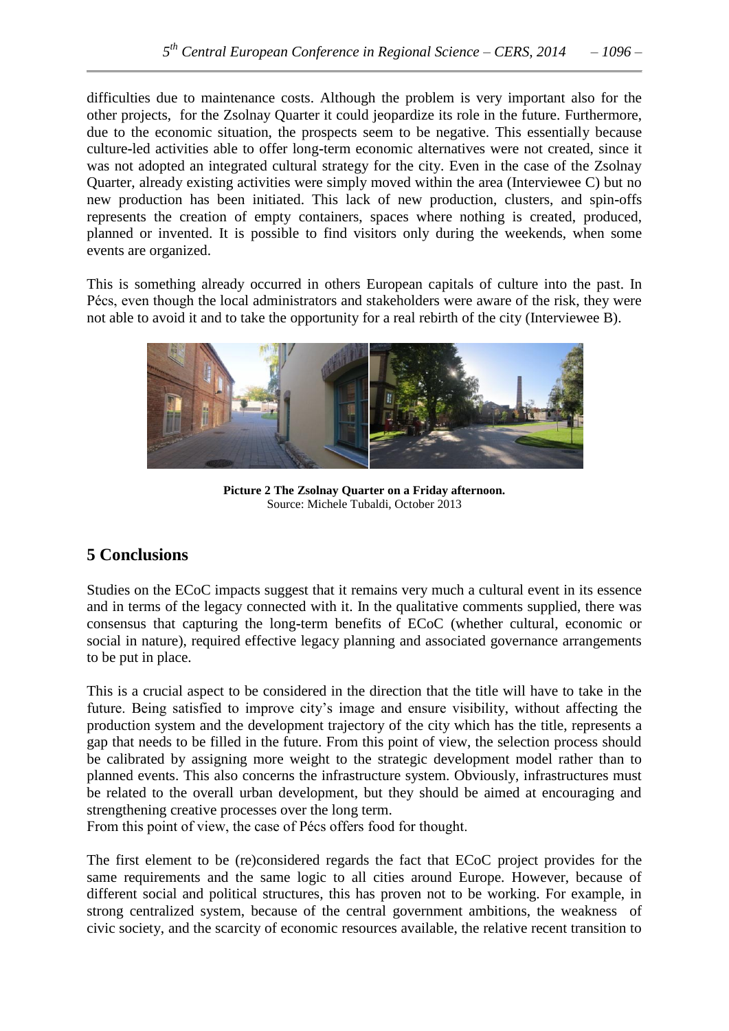difficulties due to maintenance costs. Although the problem is very important also for the other projects, for the Zsolnay Quarter it could jeopardize its role in the future. Furthermore, due to the economic situation, the prospects seem to be negative. This essentially because culture**-**led activities able to offer long**-**term economic alternatives were not created, since it was not adopted an integrated cultural strategy for the city. Even in the case of the Zsolnay Quarter, already existing activities were simply moved within the area (Interviewee C) but no new production has been initiated. This lack of new production, clusters, and spin**-**offs represents the creation of empty containers, spaces where nothing is created, produced, planned or invented. It is possible to find visitors only during the weekends, when some events are organized.

This is something already occurred in others European capitals of culture into the past. In Pécs, even though the local administrators and stakeholders were aware of the risk, they were not able to avoid it and to take the opportunity for a real rebirth of the city (Interviewee B).



**Picture 2 The Zsolnay Quarter on a Friday afternoon.** Source: Michele Tubaldi, October 2013

## **5 Conclusions**

Studies on the ECoC impacts suggest that it remains very much a cultural event in its essence and in terms of the legacy connected with it. In the qualitative comments supplied, there was consensus that capturing the long**-**term benefits of ECoC (whether cultural, economic or social in nature), required effective legacy planning and associated governance arrangements to be put in place.

This is a crucial aspect to be considered in the direction that the title will have to take in the future. Being satisfied to improve city's image and ensure visibility, without affecting the production system and the development trajectory of the city which has the title, represents a gap that needs to be filled in the future. From this point of view, the selection process should be calibrated by assigning more weight to the strategic development model rather than to planned events. This also concerns the infrastructure system. Obviously, infrastructures must be related to the overall urban development, but they should be aimed at encouraging and strengthening creative processes over the long term.

From this point of view, the case of Pécs offers food for thought.

The first element to be (re)considered regards the fact that ECoC project provides for the same requirements and the same logic to all cities around Europe. However, because of different social and political structures, this has proven not to be working. For example, in strong centralized system, because of the central government ambitions, the weakness of civic society, and the scarcity of economic resources available, the relative recent transition to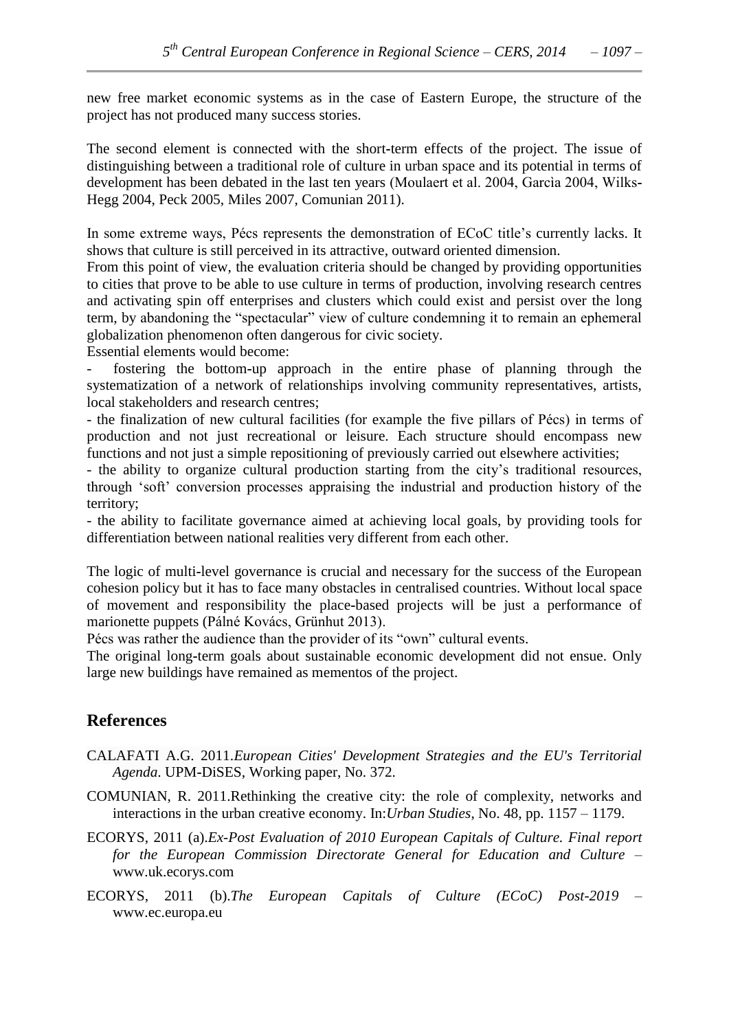new free market economic systems as in the case of Eastern Europe, the structure of the project has not produced many success stories.

The second element is connected with the short**-**term effects of the project. The issue of distinguishing between a traditional role of culture in urban space and its potential in terms of development has been debated in the last ten years (Moulaert et al. 2004, Garcìa 2004, Wilks**-**Hegg 2004, Peck 2005, Miles 2007, Comunian 2011).

In some extreme ways, Pécs represents the demonstration of ECoC title's currently lacks. It shows that culture is still perceived in its attractive, outward oriented dimension.

From this point of view, the evaluation criteria should be changed by providing opportunities to cities that prove to be able to use culture in terms of production, involving research centres and activating spin off enterprises and clusters which could exist and persist over the long term, by abandoning the "spectacular" view of culture condemning it to remain an ephemeral globalization phenomenon often dangerous for civic society.

Essential elements would become:

- fostering the bottom**-**up approach in the entire phase of planning through the systematization of a network of relationships involving community representatives, artists, local stakeholders and research centres;

- the finalization of new cultural facilities (for example the five pillars of Pécs) in terms of production and not just recreational or leisure. Each structure should encompass new functions and not just a simple repositioning of previously carried out elsewhere activities;

- the ability to organize cultural production starting from the city's traditional resources, through "soft" conversion processes appraising the industrial and production history of the territory;

- the ability to facilitate governance aimed at achieving local goals, by providing tools for differentiation between national realities very different from each other.

The logic of multi**-**level governance is crucial and necessary for the success of the European cohesion policy but it has to face many obstacles in centralised countries. Without local space of movement and responsibility the place**-**based projects will be just a performance of marionette puppets (Pálné Kovács, Grünhut 2013).

Pécs was rather the audience than the provider of its "own" cultural events.

The original long**-**term goals about sustainable economic development did not ensue. Only large new buildings have remained as mementos of the project.

## **References**

- CALAFATI A.G. 2011.*European Cities' Development Strategies and the EU's Territorial Agenda*. UPM**-**DiSES, Working paper, No. 372.
- COMUNIAN, R. 2011.Rethinking the creative city: the role of complexity, networks and interactions in the urban creative economy. In:*Urban Studies*, No. 48, pp. 1157 – 1179.
- ECORYS, 2011 (a).*Ex-Post Evaluation of 2010 European Capitals of Culture. Final report for the European Commission Directorate General for Education and Culture* – [www.uk.ecorys.com](http://www.uk.ecorys.com/)
- ECORYS, 2011 (b).*The European Capitals of Culture (ECoC) Post-2019* www.ec.europa.eu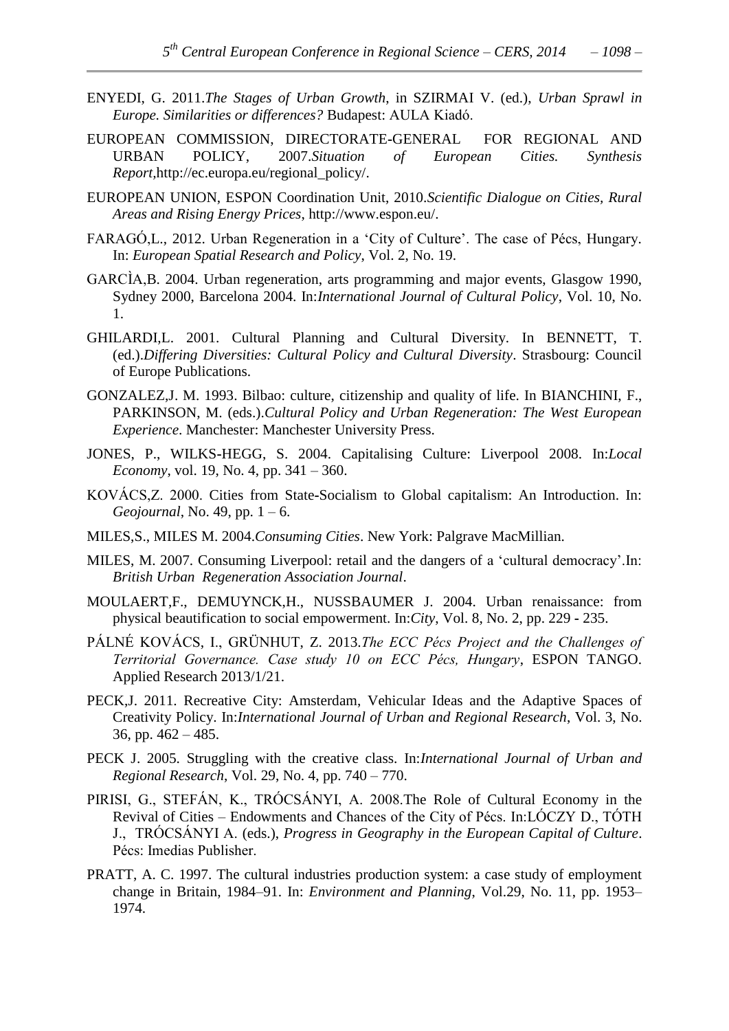- ENYEDI, G. 2011.*The Stages of Urban Growth*, in SZIRMAI V. (ed.), *Urban Sprawl in Europe. Similarities or differences?* Budapest: AULA Kiadó.
- EUROPEAN COMMISSION, DIRECTORATE**-**GENERAL FOR REGIONAL AND URBAN POLICY, 2007.*Situation of European Cities. Synthesis Report,*[http://ec.europa.eu/regional\\_policy/.](http://ec.europa.eu/regional_policy/)
- EUROPEAN UNION, ESPON Coordination Unit, 2010.*Scientific Dialogue on Cities, Rural Areas and Rising Energy Prices*, [http://www.espon.eu/.](http://www.espon.eu/)
- FARAGÓ, L., 2012. Urban Regeneration in a 'City of Culture'. The case of Pécs, Hungary. In: *European Spatial Research and Policy*, Vol. 2, No. 19.
- GARCÌA,B. 2004. Urban regeneration, arts programming and major events, Glasgow 1990, Sydney 2000, Barcelona 2004. In:*International Journal of Cultural Policy*, Vol. 10, No. 1.
- GHILARDI,L. 2001. Cultural Planning and Cultural Diversity. In BENNETT, T. (ed.).*Differing Diversities: Cultural Policy and Cultural Diversity*. Strasbourg: Council of Europe Publications.
- GONZALEZ,J. M. 1993. Bilbao: culture, citizenship and quality of life. In BIANCHINI, F., PARKINSON, M. (eds.).*Cultural Policy and Urban Regeneration: The West European Experience*. Manchester: Manchester University Press.
- JONES, P., WILKS**-**HEGG, S. 2004. Capitalising Culture: Liverpool 2008. In:*Local Economy*, vol. 19, No. 4, pp. 341 – 360.
- KOVÁCS,Z. 2000. Cities from State**-**Socialism to Global capitalism: An Introduction. In: *Geojournal*, No. 49, pp. 1 – 6.
- MILES,S., MILES M. 2004.*Consuming Cities*. New York: Palgrave MacMillian.
- MILES, M. 2007. Consuming Liverpool: retail and the dangers of a "cultural democracy".In: *British Urban Regeneration Association Journal*.
- MOULAERT,F., DEMUYNCK,H., NUSSBAUMER J. 2004. Urban renaissance: from physical beautification to social empowerment. In:*City*, Vol. 8, No. 2, pp. 229 **-** 235.
- PÁLNÉ KOVÁCS, I., GRÜNHUT, Z. 2013.*The ECC Pécs Project and the Challenges of Territorial Governance. Case study 10 on ECC Pécs, Hungary*, ESPON TANGO. Applied Research 2013/1/21.
- PECK,J. 2011. Recreative City: Amsterdam, Vehicular Ideas and the Adaptive Spaces of Creativity Policy. In:*International Journal of Urban and Regional Research*, Vol. 3, No. 36, pp. 462 – 485.
- PECK J. 2005. Struggling with the creative class. In:*International Journal of Urban and Regional Research*, Vol. 29, No. 4, pp. 740 – 770.
- PIRISI, G., STEFÁN, K., TRÓCSÁNYI, A. 2008.The Role of Cultural Economy in the Revival of Cities – Endowments and Chances of the City of Pécs. In:LÓCZY D., TÓTH J., TRÓCSÁNYI A. (eds.), *Progress in Geography in the European Capital of Culture*. Pécs: Imedias Publisher.
- PRATT, A. C. 1997. The cultural industries production system: a case study of employment change in Britain, 1984–91. In: *Environment and Planning*, Vol.29, No. 11, pp. 1953– 1974.